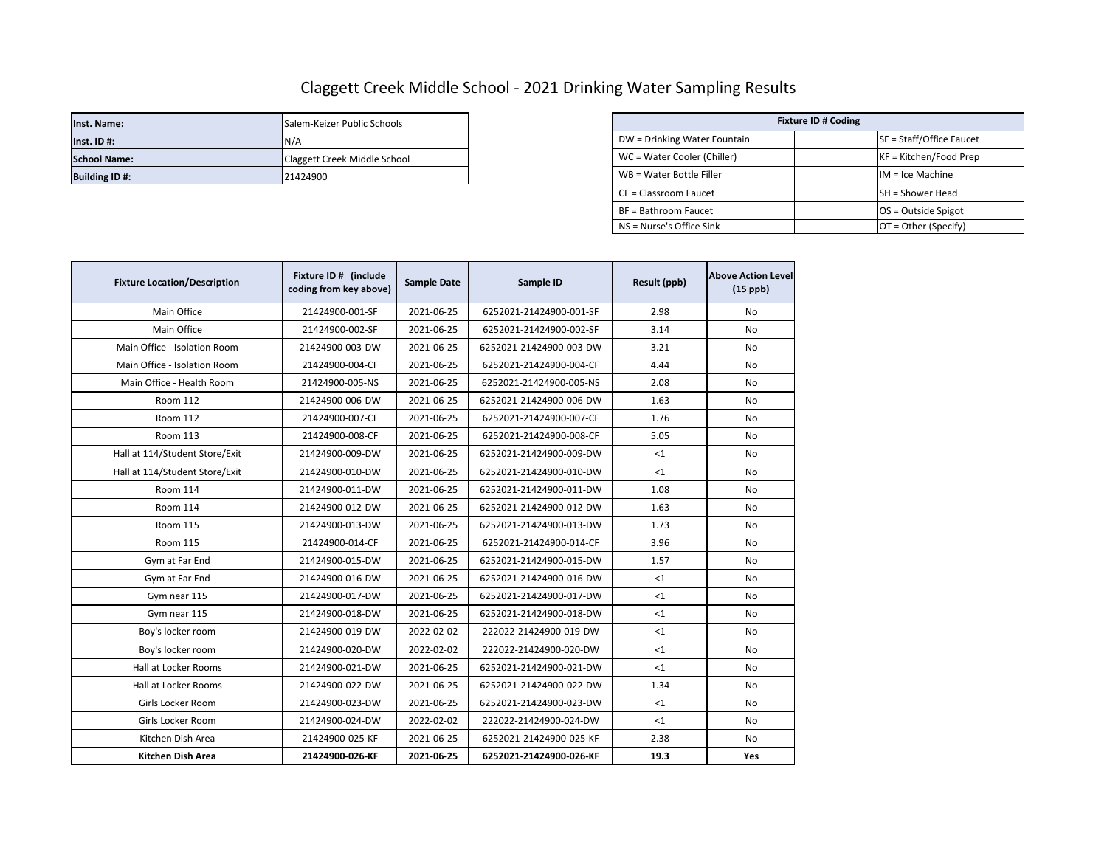## Claggett Creek Middle School - 2021 Drinking Water Sampling Results

| Inst. Name:           | Salem-Keizer Public Schools  | <b>Fixture ID # Coding</b>   |  |                          |
|-----------------------|------------------------------|------------------------------|--|--------------------------|
| $Inst.$ ID #:         | IN/A                         | DW = Drinking Water Fountain |  | SF = Staff/Office Faucet |
| <b>School Name:</b>   | Claggett Creek Middle School | WC = Water Cooler (Chiller)  |  | KF = Kitchen/Food Prep   |
| <b>Building ID #:</b> | 21424900                     | WB = Water Bottle Filler     |  | $IM = Ice Machine$       |

| Salem-Keizer Public Schools  | <b>Fixture ID # Coding</b>                     |                          |  |  |
|------------------------------|------------------------------------------------|--------------------------|--|--|
| N/A                          | DW = Drinking Water Fountain                   | SF = Staff/Office Faucet |  |  |
| Claggett Creek Middle School | WC = Water Cooler (Chiller)                    | $KF = Kitchen/Food Prep$ |  |  |
| 21424900                     | WB = Water Bottle Filler<br>$IM = Ice Machine$ |                          |  |  |
|                              | CF = Classroom Faucet                          | <b>SH</b> = Shower Head  |  |  |
|                              | BF = Bathroom Faucet                           | $OS = Outside Spigot$    |  |  |
|                              | NS = Nurse's Office Sink                       | $OT = Other (Specify)$   |  |  |

| <b>Fixture Location/Description</b> | Fixture ID # (include<br>coding from key above) | <b>Sample Date</b> | Sample ID               | Result (ppb) | <b>Above Action Level</b><br>$(15$ ppb) |
|-------------------------------------|-------------------------------------------------|--------------------|-------------------------|--------------|-----------------------------------------|
| Main Office                         | 21424900-001-SF                                 | 2021-06-25         | 6252021-21424900-001-SF | 2.98         | No                                      |
| Main Office                         | 21424900-002-SF                                 | 2021-06-25         | 6252021-21424900-002-SF | 3.14         | No                                      |
| Main Office - Isolation Room        | 21424900-003-DW                                 | 2021-06-25         | 6252021-21424900-003-DW | 3.21         | <b>No</b>                               |
| Main Office - Isolation Room        | 21424900-004-CF                                 | 2021-06-25         | 6252021-21424900-004-CF | 4.44         | No                                      |
| Main Office - Health Room           | 21424900-005-NS                                 | 2021-06-25         | 6252021-21424900-005-NS | 2.08         | No                                      |
| Room 112                            | 21424900-006-DW                                 | 2021-06-25         | 6252021-21424900-006-DW | 1.63         | No                                      |
| Room 112                            | 21424900-007-CF                                 | 2021-06-25         | 6252021-21424900-007-CF | 1.76         | No                                      |
| Room 113                            | 21424900-008-CF                                 | 2021-06-25         | 6252021-21424900-008-CF | 5.05         | No                                      |
| Hall at 114/Student Store/Exit      | 21424900-009-DW                                 | 2021-06-25         | 6252021-21424900-009-DW | $<$ 1        | No                                      |
| Hall at 114/Student Store/Exit      | 21424900-010-DW                                 | 2021-06-25         | 6252021-21424900-010-DW | $\leq 1$     | <b>No</b>                               |
| Room 114                            | 21424900-011-DW                                 | 2021-06-25         | 6252021-21424900-011-DW | 1.08         | No                                      |
| <b>Room 114</b>                     | 21424900-012-DW                                 | 2021-06-25         | 6252021-21424900-012-DW | 1.63         | No                                      |
| Room 115                            | 21424900-013-DW                                 | 2021-06-25         | 6252021-21424900-013-DW | 1.73         | No                                      |
| Room 115                            | 21424900-014-CF                                 | 2021-06-25         | 6252021-21424900-014-CF | 3.96         | No                                      |
| Gym at Far End                      | 21424900-015-DW                                 | 2021-06-25         | 6252021-21424900-015-DW | 1.57         | No                                      |
| Gym at Far End                      | 21424900-016-DW                                 | 2021-06-25         | 6252021-21424900-016-DW | <1           | No                                      |
| Gym near 115                        | 21424900-017-DW                                 | 2021-06-25         | 6252021-21424900-017-DW | <1           | No                                      |
| Gym near 115                        | 21424900-018-DW                                 | 2021-06-25         | 6252021-21424900-018-DW | <1           | No                                      |
| Boy's locker room                   | 21424900-019-DW                                 | 2022-02-02         | 222022-21424900-019-DW  | <1           | No                                      |
| Boy's locker room                   | 21424900-020-DW                                 | 2022-02-02         | 222022-21424900-020-DW  | $<$ 1        | No                                      |
| Hall at Locker Rooms                | 21424900-021-DW                                 | 2021-06-25         | 6252021-21424900-021-DW | <1           | No                                      |
| Hall at Locker Rooms                | 21424900-022-DW                                 | 2021-06-25         | 6252021-21424900-022-DW | 1.34         | No                                      |
| Girls Locker Room                   | 21424900-023-DW                                 | 2021-06-25         | 6252021-21424900-023-DW | $<$ 1        | No                                      |
| Girls Locker Room                   | 21424900-024-DW                                 | 2022-02-02         | 222022-21424900-024-DW  | <1           | <b>No</b>                               |
| Kitchen Dish Area                   | 21424900-025-KF                                 | 2021-06-25         | 6252021-21424900-025-KF | 2.38         | No                                      |
| <b>Kitchen Dish Area</b>            | 21424900-026-KF                                 | 2021-06-25         | 6252021-21424900-026-KF | 19.3         | Yes                                     |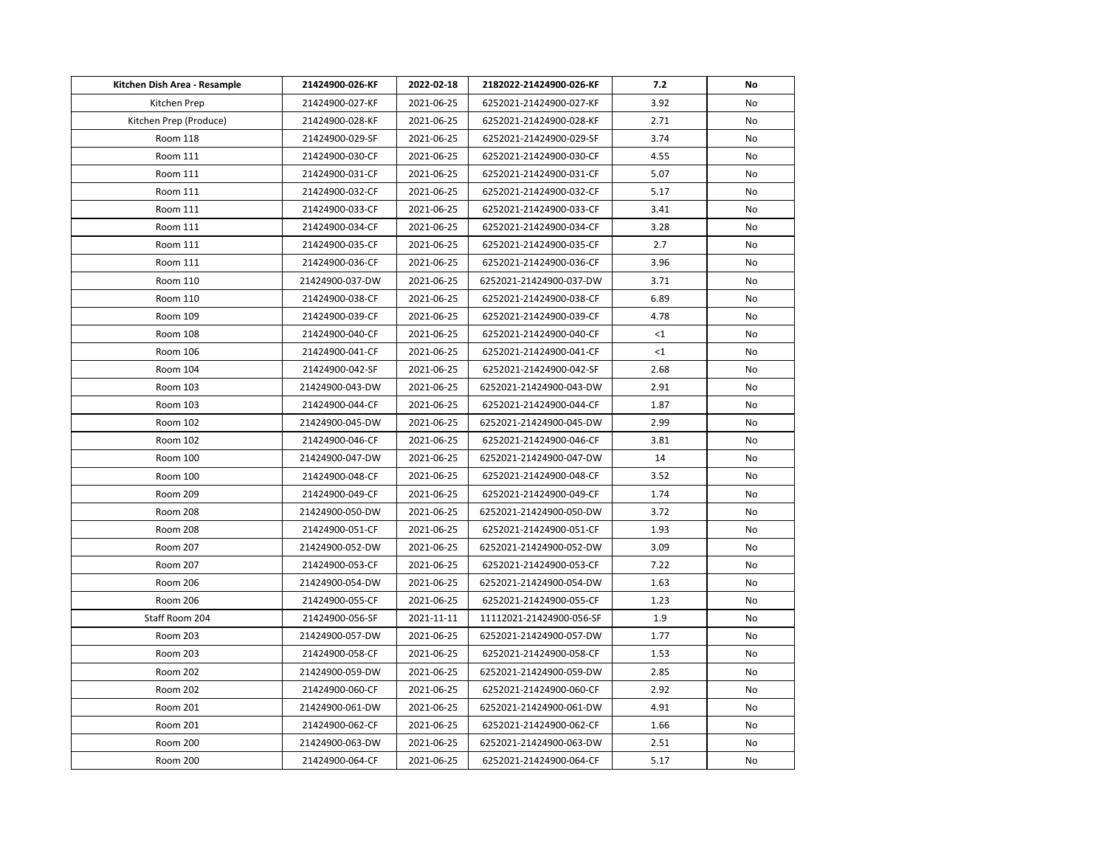| Kitchen Dish Area - Resample | 21424900-026-KF | 2022-02-18 | 2182022-21424900-026-KF  | 7.2   | No  |
|------------------------------|-----------------|------------|--------------------------|-------|-----|
| Kitchen Prep                 | 21424900-027-KF | 2021-06-25 | 6252021-21424900-027-KF  | 3.92  | No  |
| Kitchen Prep (Produce)       | 21424900-028-KF | 2021-06-25 | 6252021-21424900-028-KF  | 2.71  | No  |
| Room 118                     | 21424900-029-SF | 2021-06-25 | 6252021-21424900-029-SF  | 3.74  | No  |
| Room 111                     | 21424900-030-CF | 2021-06-25 | 6252021-21424900-030-CF  | 4.55  | No  |
| Room 111                     | 21424900-031-CF | 2021-06-25 | 6252021-21424900-031-CF  | 5.07  | No  |
| Room 111                     | 21424900-032-CF | 2021-06-25 | 6252021-21424900-032-CF  | 5.17  | No  |
| Room 111                     | 21424900-033-CF | 2021-06-25 | 6252021-21424900-033-CF  | 3.41  | No  |
| Room 111                     | 21424900-034-CF | 2021-06-25 | 6252021-21424900-034-CF  | 3.28  | No  |
| Room 111                     | 21424900-035-CF | 2021-06-25 | 6252021-21424900-035-CF  | 2.7   | No  |
| Room 111                     | 21424900-036-CF | 2021-06-25 | 6252021-21424900-036-CF  | 3.96  | No  |
| Room 110                     | 21424900-037-DW | 2021-06-25 | 6252021-21424900-037-DW  | 3.71  | No. |
| Room 110                     | 21424900-038-CF | 2021-06-25 | 6252021-21424900-038-CF  | 6.89  | No  |
| Room 109                     | 21424900-039-CF | 2021-06-25 | 6252021-21424900-039-CF  | 4.78  | No  |
| Room 108                     | 21424900-040-CF | 2021-06-25 | 6252021-21424900-040-CF  | $<$ 1 | No  |
| Room 106                     | 21424900-041-CF | 2021-06-25 | 6252021-21424900-041-CF  | <1    | No  |
| Room 104                     | 21424900-042-SF | 2021-06-25 | 6252021-21424900-042-SF  | 2.68  | No  |
| Room 103                     | 21424900-043-DW | 2021-06-25 | 6252021-21424900-043-DW  | 2.91  | No  |
| Room 103                     | 21424900-044-CF | 2021-06-25 | 6252021-21424900-044-CF  | 1.87  | No  |
| Room 102                     | 21424900-045-DW | 2021-06-25 | 6252021-21424900-045-DW  | 2.99  | No  |
| Room 102                     | 21424900-046-CF | 2021-06-25 | 6252021-21424900-046-CF  | 3.81  | No  |
| Room 100                     | 21424900-047-DW | 2021-06-25 | 6252021-21424900-047-DW  | 14    | No  |
| Room 100                     | 21424900-048-CF | 2021-06-25 | 6252021-21424900-048-CF  | 3.52  | No  |
| Room 209                     | 21424900-049-CF | 2021-06-25 | 6252021-21424900-049-CF  | 1.74  | No  |
| <b>Room 208</b>              | 21424900-050-DW | 2021-06-25 | 6252021-21424900-050-DW  | 3.72  | No  |
| Room 208                     | 21424900-051-CF | 2021-06-25 | 6252021-21424900-051-CF  | 1.93  | No  |
| Room 207                     | 21424900-052-DW | 2021-06-25 | 6252021-21424900-052-DW  | 3.09  | No  |
| Room 207                     | 21424900-053-CF | 2021-06-25 | 6252021-21424900-053-CF  | 7.22  | No  |
| Room 206                     | 21424900-054-DW | 2021-06-25 | 6252021-21424900-054-DW  | 1.63  | No  |
| Room 206                     | 21424900-055-CF | 2021-06-25 | 6252021-21424900-055-CF  | 1.23  | No  |
| Staff Room 204               | 21424900-056-SF | 2021-11-11 | 11112021-21424900-056-SF | 1.9   | No  |
| Room 203                     | 21424900-057-DW | 2021-06-25 | 6252021-21424900-057-DW  | 1.77  | No. |
| Room 203                     | 21424900-058-CF | 2021-06-25 | 6252021-21424900-058-CF  | 1.53  | No  |
| <b>Room 202</b>              | 21424900-059-DW | 2021-06-25 | 6252021-21424900-059-DW  | 2.85  | No  |
| <b>Room 202</b>              | 21424900-060-CF | 2021-06-25 | 6252021-21424900-060-CF  | 2.92  | No  |
| Room 201                     | 21424900-061-DW | 2021-06-25 | 6252021-21424900-061-DW  | 4.91  | No  |
| Room 201                     | 21424900-062-CF | 2021-06-25 | 6252021-21424900-062-CF  | 1.66  | No  |
| Room 200                     | 21424900-063-DW | 2021-06-25 | 6252021-21424900-063-DW  | 2.51  | No  |
| Room 200                     | 21424900-064-CF | 2021-06-25 | 6252021-21424900-064-CF  | 5.17  | No  |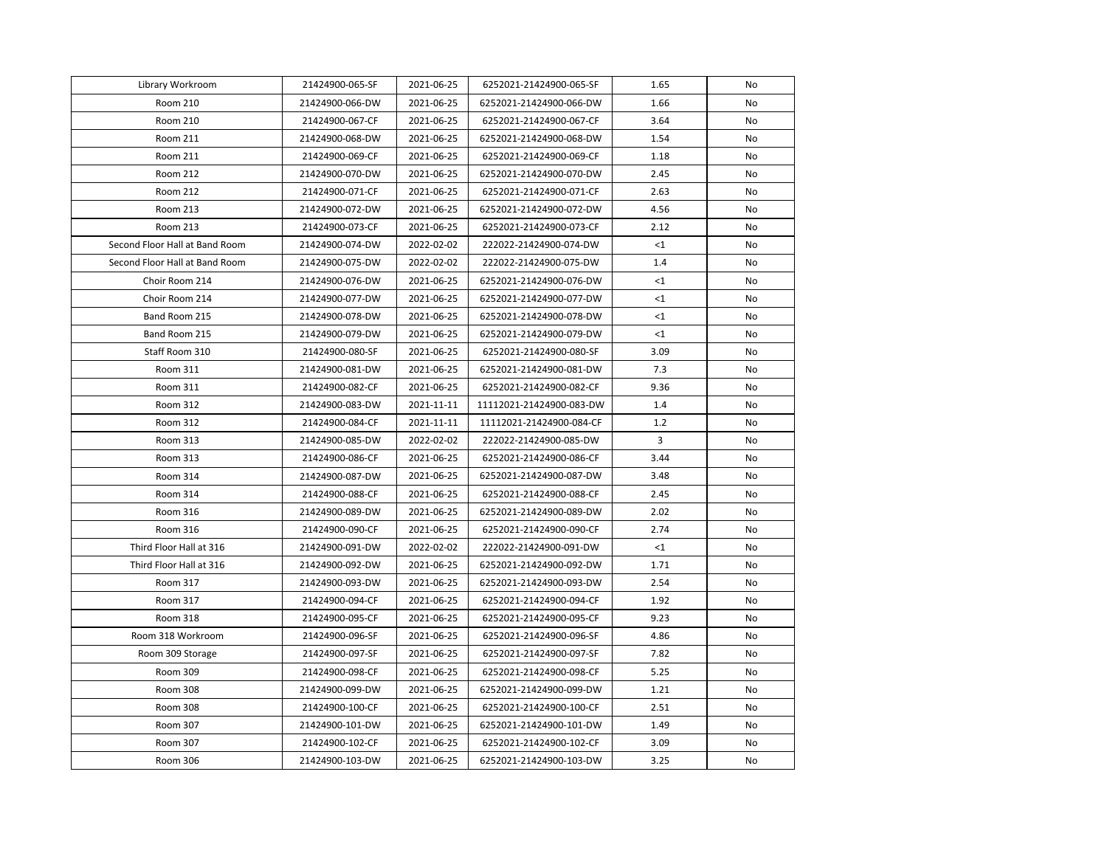| Library Workroom               | 21424900-065-SF | 2021-06-25 | 6252021-21424900-065-SF  | 1.65     | No        |
|--------------------------------|-----------------|------------|--------------------------|----------|-----------|
| Room 210                       | 21424900-066-DW | 2021-06-25 | 6252021-21424900-066-DW  | 1.66     | <b>No</b> |
| Room 210                       | 21424900-067-CF | 2021-06-25 | 6252021-21424900-067-CF  | 3.64     | No        |
| Room 211                       | 21424900-068-DW | 2021-06-25 | 6252021-21424900-068-DW  | 1.54     | No        |
| Room 211                       | 21424900-069-CF | 2021-06-25 | 6252021-21424900-069-CF  | 1.18     | No        |
| Room 212                       | 21424900-070-DW | 2021-06-25 | 6252021-21424900-070-DW  | 2.45     | No        |
| Room 212                       | 21424900-071-CF | 2021-06-25 | 6252021-21424900-071-CF  | 2.63     | No        |
| Room 213                       | 21424900-072-DW | 2021-06-25 | 6252021-21424900-072-DW  | 4.56     | No        |
| Room 213                       | 21424900-073-CF | 2021-06-25 | 6252021-21424900-073-CF  | 2.12     | No        |
| Second Floor Hall at Band Room | 21424900-074-DW | 2022-02-02 | 222022-21424900-074-DW   | $\leq 1$ | No        |
| Second Floor Hall at Band Room | 21424900-075-DW | 2022-02-02 | 222022-21424900-075-DW   | 1.4      | No        |
| Choir Room 214                 | 21424900-076-DW | 2021-06-25 | 6252021-21424900-076-DW  | <1       | No        |
| Choir Room 214                 | 21424900-077-DW | 2021-06-25 | 6252021-21424900-077-DW  | <1       | No        |
| Band Room 215                  | 21424900-078-DW | 2021-06-25 | 6252021-21424900-078-DW  | $<$ 1    | No        |
| Band Room 215                  | 21424900-079-DW | 2021-06-25 | 6252021-21424900-079-DW  | $<$ 1    | No        |
| Staff Room 310                 | 21424900-080-SF | 2021-06-25 | 6252021-21424900-080-SF  | 3.09     | No        |
| Room 311                       | 21424900-081-DW | 2021-06-25 | 6252021-21424900-081-DW  | 7.3      | No        |
| Room 311                       | 21424900-082-CF | 2021-06-25 | 6252021-21424900-082-CF  | 9.36     | No        |
| Room 312                       | 21424900-083-DW | 2021-11-11 | 11112021-21424900-083-DW | 1.4      | No        |
| Room 312                       | 21424900-084-CF | 2021-11-11 | 11112021-21424900-084-CF | 1.2      | No        |
| Room 313                       | 21424900-085-DW | 2022-02-02 | 222022-21424900-085-DW   | 3        | No        |
| Room 313                       | 21424900-086-CF | 2021-06-25 | 6252021-21424900-086-CF  | 3.44     | No        |
| Room 314                       | 21424900-087-DW | 2021-06-25 | 6252021-21424900-087-DW  | 3.48     | No        |
| Room 314                       | 21424900-088-CF | 2021-06-25 | 6252021-21424900-088-CF  | 2.45     | No        |
| Room 316                       | 21424900-089-DW | 2021-06-25 | 6252021-21424900-089-DW  | 2.02     | No        |
| Room 316                       | 21424900-090-CF | 2021-06-25 | 6252021-21424900-090-CF  | 2.74     | No        |
| Third Floor Hall at 316        | 21424900-091-DW | 2022-02-02 | 222022-21424900-091-DW   | <1       | No        |
| Third Floor Hall at 316        | 21424900-092-DW | 2021-06-25 | 6252021-21424900-092-DW  | 1.71     | No        |
| Room 317                       | 21424900-093-DW | 2021-06-25 | 6252021-21424900-093-DW  | 2.54     | No        |
| Room 317                       | 21424900-094-CF | 2021-06-25 | 6252021-21424900-094-CF  | 1.92     | No        |
| Room 318                       | 21424900-095-CF | 2021-06-25 | 6252021-21424900-095-CF  | 9.23     | No        |
| Room 318 Workroom              | 21424900-096-SF | 2021-06-25 | 6252021-21424900-096-SF  | 4.86     | No        |
| Room 309 Storage               | 21424900-097-SF | 2021-06-25 | 6252021-21424900-097-SF  | 7.82     | No        |
| Room 309                       | 21424900-098-CF | 2021-06-25 | 6252021-21424900-098-CF  | 5.25     | No        |
| Room 308                       | 21424900-099-DW | 2021-06-25 | 6252021-21424900-099-DW  | 1.21     | No        |
| Room 308                       | 21424900-100-CF | 2021-06-25 | 6252021-21424900-100-CF  | 2.51     | No        |
| Room 307                       | 21424900-101-DW | 2021-06-25 | 6252021-21424900-101-DW  | 1.49     | No        |
| Room 307                       | 21424900-102-CF | 2021-06-25 | 6252021-21424900-102-CF  | 3.09     | No        |
| Room 306                       | 21424900-103-DW | 2021-06-25 | 6252021-21424900-103-DW  | 3.25     | No        |
|                                |                 |            |                          |          |           |